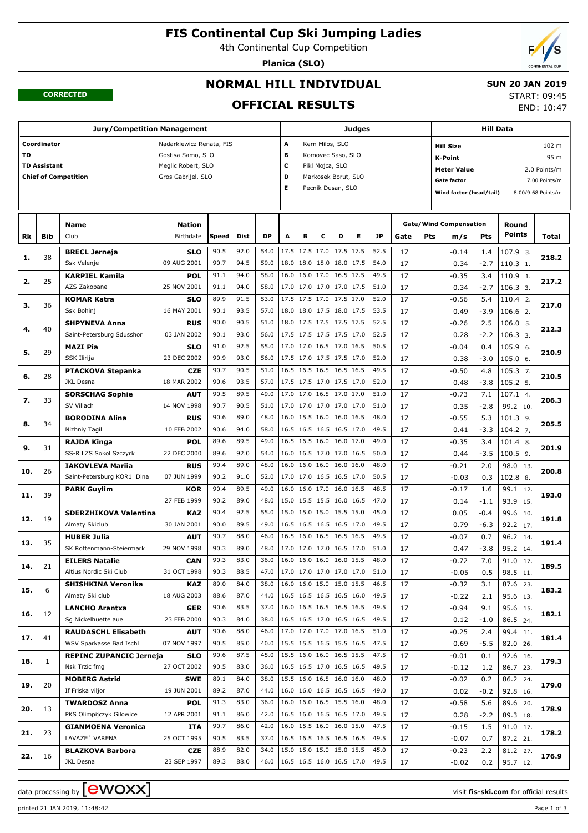# **FIS Continental Cup Ski Jumping Ladies**

4th Continental Cup Competition

**Planica (SLO)**



#### **CORRECTED**

# **NORMAL HILL INDIVIDUAL OFFICIAL RESULTS**

 **SUN 20 JAN 2019** START: 09:45

END: 10:47

| <b>Jury/Competition Management</b> |                     |                                |                          |                      |      |      |                        |                                     |   | <b>Judges</b>           |      | <b>Hill Data</b> |                                    |        |               |               |  |
|------------------------------------|---------------------|--------------------------------|--------------------------|----------------------|------|------|------------------------|-------------------------------------|---|-------------------------|------|------------------|------------------------------------|--------|---------------|---------------|--|
|                                    | Coordinator         |                                | Nadarkiewicz Renata, FIS |                      |      |      | Α                      | Kern Milos, SLO<br><b>Hill Size</b> |   |                         |      |                  |                                    |        |               | 102 m         |  |
| TD                                 |                     |                                | Gostisa Samo, SLO        |                      |      |      | В<br>Komovec Saso, SLO |                                     |   |                         |      |                  | 95 m<br><b>K-Point</b>             |        |               |               |  |
|                                    | <b>TD Assistant</b> |                                | Meglic Robert, SLO       | c<br>Pikl Mojca, SLO |      |      |                        |                                     |   |                         |      |                  |                                    |        |               |               |  |
|                                    |                     | <b>Chief of Competition</b>    | Gros Gabrijel, SLO       |                      |      |      | D                      | Markosek Borut, SLO                 |   |                         |      |                  | 2.0 Points/m<br><b>Meter Value</b> |        |               |               |  |
|                                    |                     |                                | Е                        |                      |      |      |                        | Pecnik Dusan, SLO                   |   |                         |      |                  | <b>Gate factor</b>                 |        |               | 7.00 Points/m |  |
|                                    |                     |                                |                          |                      |      |      |                        |                                     |   | Wind factor (head/tail) |      |                  | 8.00/9.68 Points/m                 |        |               |               |  |
|                                    |                     |                                |                          |                      |      |      |                        |                                     |   |                         |      |                  |                                    |        |               |               |  |
|                                    |                     | <b>Name</b>                    | <b>Nation</b>            |                      |      |      |                        |                                     |   |                         |      |                  | <b>Gate/Wind Compensation</b>      |        | Round         |               |  |
| Rk                                 | <b>Bib</b>          | Club                           | Birthdate                | Speed                | Dist | DP   | A                      | в<br>с                              | D | Е                       | JP   | Gate             | Pts<br>m/s                         | Pts    | <b>Points</b> | Total         |  |
| 1.                                 | 38                  | <b>BRECL Jerneja</b>           | <b>SLO</b>               | 90.5                 | 92.0 | 54.0 |                        | 17.5 17.5 17.0 17.5 17.5            |   |                         | 52.5 | 17               | $-0.14$                            | 1.4    | 107.9 3.      | 218.2         |  |
|                                    |                     | Ssk Velenje                    | 09 AUG 2001              | 90.7                 | 94.5 | 59.0 |                        | 18.0 18.0 18.0 18.0 17.5            |   |                         | 54.0 | 17               | 0.34                               | $-2.7$ | 110.3 1.      |               |  |
| 2.                                 | 25                  | <b>KARPIEL Kamila</b>          | <b>POL</b>               | 91.1                 | 94.0 | 58.0 | 16.0                   | 16.0 17.0 16.5 17.5                 |   |                         | 49.5 | 17               | $-0.35$                            | 3.4    | 110.9 1.      | 217.2         |  |
|                                    |                     | AZS Zakopane                   | 25 NOV 2001              | 91.1                 | 94.0 | 58.0 |                        | 17.0 17.0 17.0 17.0 17.5            |   |                         | 51.0 | 17               | 0.34                               | $-2.7$ | 106.3 3.      |               |  |
| з.                                 | 36                  | <b>KOMAR Katra</b>             | <b>SLO</b>               | 89.9                 | 91.5 | 53.0 |                        | 17.5 17.5 17.0 17.5 17.0            |   |                         | 52.0 | 17               | $-0.56$                            | 5.4    | 110.4 2.      | 217.0         |  |
|                                    |                     | Ssk Bohinj                     | 16 MAY 2001              | 90.1                 | 93.5 | 57.0 |                        | 18.0 18.0 17.5 18.0 17.5            |   |                         | 53.5 | 17               | 0.49                               | $-3.9$ | 106.6 2.      |               |  |
| 4.                                 | 40                  | <b>SHPYNEVA Anna</b>           | <b>RUS</b>               | 90.0                 | 90.5 | 51.0 |                        | 18.0 17.5 17.5 17.5 17.5            |   |                         | 52.5 | 17               | $-0.26$                            | 2.5    | 106.0 5.      | 212.3         |  |
|                                    |                     | Saint-Petersburg Sdusshor      | 03 JAN 2002              | 90.1                 | 93.0 | 56.0 |                        | 17.5 17.5 17.5 17.5 17.0            |   |                         | 52.5 | 17               | 0.28                               | $-2.2$ | 106.3 3.      |               |  |
| 5.                                 | 29                  | <b>MAZI Pia</b>                | <b>SLO</b>               | 91.0                 | 92.5 | 55.0 |                        | 17.0 17.0 16.5 17.0 16.5            |   |                         | 50.5 | 17               | $-0.04$                            | 0.4    | 105.9 6.      | 210.9         |  |
|                                    |                     | <b>SSK Ilirija</b>             | 23 DEC 2002              | 90.9                 | 93.0 | 56.0 |                        | 17.5 17.0 17.5 17.5 17.0            |   |                         | 52.0 | 17               | 0.38                               | $-3.0$ | 105.0 6.      |               |  |
| 6.                                 | 28                  | <b>PTACKOVA Stepanka</b>       | <b>CZE</b>               | 90.7                 | 90.5 | 51.0 |                        | 16.5 16.5 16.5 16.5 16.5            |   |                         | 49.5 | 17               | $-0.50$                            | 4.8    | 105.3 7.      | 210.5         |  |
|                                    |                     | JKL Desna                      | 18 MAR 2002              | 90.6                 | 93.5 | 57.0 |                        | 17.5 17.5 17.0 17.5 17.0            |   |                         | 52.0 | 17               | 0.48                               | $-3.8$ | 105.2 5.      |               |  |
| 7.                                 | 33                  | <b>SORSCHAG Sophie</b>         | AUT                      | 90.5                 | 89.5 | 49.0 |                        | 17.0 17.0 16.5 17.0 17.0            |   |                         | 51.0 | 17               | $-0.73$                            | 7.1    | 107.1 4.      | 206.3         |  |
|                                    |                     | SV Villach                     | 14 NOV 1998              | 90.7                 | 90.5 | 51.0 |                        | 17.0 17.0 17.0 17.0 17.0            |   |                         | 51.0 | 17               | 0.35                               | $-2.8$ | 99.2 10.      |               |  |
| 8.                                 | 34                  | <b>BORODINA Alina</b>          | <b>RUS</b>               | 90.6                 | 89.0 | 48.0 |                        | 16.0 15.5 16.0 16.0 16.5            |   |                         | 48.0 | 17               | $-0.55$                            | 5.3    | 101.3 9.      | 205.5         |  |
|                                    |                     | Nizhniy Tagil                  | 10 FEB 2002              | 90.6                 | 94.0 | 58.0 |                        | 16.5 16.5 16.5 16.5 17.0            |   |                         | 49.5 | 17               | 0.41                               | $-3.3$ | 104.2 7.      |               |  |
| 9.                                 | 31                  | <b>RAJDA Kinga</b>             | <b>POL</b>               | 89.6                 | 89.5 | 49.0 |                        | 16.5 16.5 16.0 16.0 17.0            |   |                         | 49.0 | 17               | $-0.35$                            | 3.4    | 101.4 8.      | 201.9         |  |
|                                    |                     | SS-R LZS Sokol Szczyrk         | 22 DEC 2000              | 89.6                 | 92.0 | 54.0 |                        | 16.0 16.5 17.0 17.0 16.5            |   |                         | 50.0 | 17               | 0.44                               | $-3.5$ | 100.5 9.      |               |  |
| 10.                                | 26                  | <b>IAKOVLEVA Mariia</b>        | <b>RUS</b>               | 90.4                 | 89.0 | 48.0 | 16.0                   | 16.0 16.0 16.0 16.0                 |   |                         | 48.0 | 17               | $-0.21$                            | 2.0    | 98.0 13       | 200.8         |  |
|                                    |                     | Saint-Petersburg KOR1 Dina     | 07 JUN 1999              | 90.2                 | 91.0 | 52.0 |                        | 17.0 17.0 16.5 16.5 17.0            |   |                         | 50.5 | 17               | $-0.03$                            | 0.3    | 102.8 8.      |               |  |
| 11.                                | 39                  | <b>PARK Guylim</b>             | <b>KOR</b>               | 90.4                 | 89.5 | 49.0 | 16.0                   | 16.0 17.0 16.0 16.5                 |   |                         | 48.5 | 17               | $-0.17$                            | 1.6    | 99.1 12       | 193.0         |  |
|                                    |                     |                                | 27 FEB 1999              | 90.2                 | 89.0 | 48.0 |                        | 15.0 15.5 15.5 16.0 16.5            |   |                         | 47.0 | 17               | 0.14                               | $-1.1$ | 93.9 15.      |               |  |
| 12.                                | 19                  | <b>SDERZHIKOVA Valentina</b>   | <b>KAZ</b>               | 90.4                 | 92.5 | 55.0 | 15.0                   | 15.0 15.0 15.5 15.0                 |   |                         | 45.0 | 17               | 0.05                               | $-0.4$ | 99.6<br>10    | 191.8         |  |
|                                    |                     | Almaty Skiclub                 | 30 JAN 2001              | 90.0                 | 89.5 | 49.0 |                        | 16.5 16.5 16.5 16.5 17.0            |   |                         | 49.5 | 17               | 0.79                               | $-6.3$ | 92.2 17.      |               |  |
| 13.                                | 35                  | <b>HUBER Julia</b>             | <b>AUT</b>               | 90.7                 | 88.0 | 46.0 |                        | 16.5 16.0 16.5 16.5 16.5            |   |                         | 49.5 | 17               | $-0.07$                            | 0.7    | 96.2 14       | 191.4         |  |
|                                    |                     | SK Rottenmann-Steiermark       | 29 NOV 1998              | 90.3                 | 89.0 | 48.0 |                        | 17.0 17.0 17.0 16.5 17.0            |   |                         | 51.0 | 17               | 0.47                               | $-3.8$ | 95.2 14.      |               |  |
| 14.                                | 21                  | <b>EILERS Natalie</b>          | <b>CAN</b>               | 90.3                 | 83.0 |      |                        | 36.0 16.0 16.0 16.0 16.0 15.5       |   |                         | 48.0 | 17               | $-0.72$                            | 7.0    | $91.0$ 17.    | 189.5         |  |
|                                    |                     | Altius Nordic Ski Club         | 31 OCT 1998              | 90.3                 | 88.5 | 47.0 |                        | 17.0 17.0 17.0 17.0 17.0            |   |                         | 51.0 | 17               | $-0.05$                            | 0.5    | 98.5 11.      |               |  |
| 15.                                | 6                   | <b>SHISHKINA Veronika</b>      | KAZ                      | 89.0                 | 84.0 | 38.0 |                        | 16.0 16.0 15.0 15.0 15.5            |   |                         | 46.5 | 17               | $-0.32$                            | 3.1    | 87.6 23.      | 183.2         |  |
|                                    |                     | Almaty Ski club                | 18 AUG 2003              | 88.6                 | 87.0 | 44.0 |                        | 16.5 16.5 16.5 16.5 16.0            |   |                         | 49.5 | 17               | $-0.22$                            | 2.1    | 95.6 13.      |               |  |
| 16.                                | 12                  | <b>LANCHO Arantxa</b>          | <b>GER</b>               | 90.6                 | 83.5 | 37.0 |                        | 16.0 16.5 16.5 16.5 16.5            |   |                         | 49.5 | 17               | $-0.94$                            | 9.1    | 95.6 15.      | 182.1         |  |
|                                    |                     | Sg Nickelhuette aue            | 23 FEB 2000              | 90.3                 | 84.0 | 38.0 |                        | 16.5 16.5 17.0 16.5 16.5            |   |                         | 49.5 | 17               | 0.12                               | $-1.0$ | 86.5 24.      |               |  |
| 17.                                | 41                  | <b>RAUDASCHL Elisabeth</b>     | <b>AUT</b>               | 90.6                 | 88.0 | 46.0 |                        | 17.0 17.0 17.0 17.0 16.5            |   |                         | 51.0 | 17               | $-0.25$                            | 2.4    | 99.4 11       | 181.4         |  |
|                                    |                     | WSV Sparkasse Bad Ischl        | 07 NOV 1997              | 90.5                 | 85.0 | 40.0 |                        | 15.5 15.5 16.5 15.5 16.5            |   |                         | 47.5 | 17               | 0.69                               | $-5.5$ | 82.0 26.      |               |  |
| 18.                                | $\mathbf{1}$        | <b>REPINC ZUPANCIC Jerneja</b> | <b>SLO</b>               | 90.6                 | 87.5 | 45.0 |                        | 15.5 16.0 16.0 16.5 15.5            |   |                         | 47.5 | 17               | $-0.01$                            | 0.1    | 92.6 16.      | 179.3         |  |
|                                    |                     | Nsk Trzic fmg                  | 27 OCT 2002              | 90.5                 | 83.0 | 36.0 |                        | 16.5 16.5 17.0 16.5 16.5            |   |                         | 49.5 | 17               | $-0.12$                            | 1.2    | 86.7 23.      |               |  |
| 19.                                | 20                  | <b>MOBERG Astrid</b>           | <b>SWE</b>               | 89.1                 | 84.0 | 38.0 |                        | 15.5 16.0 16.5 16.0 16.0            |   |                         | 48.0 | 17               | $-0.02$                            | 0.2    | 86.2 24.      | 179.0         |  |
|                                    |                     | If Friska viljor               | 19 JUN 2001              | 89.2                 | 87.0 | 44.0 |                        | 16.0 16.0 16.5 16.5 16.5            |   |                         | 49.0 | 17               | 0.02                               | $-0.2$ | 92.8 16.      |               |  |
| 20.                                | 13                  | <b>TWARDOSZ Anna</b>           | <b>POL</b>               | 91.3                 | 83.0 | 36.0 |                        | 16.0 16.0 16.5 15.5 16.0            |   |                         | 48.0 | 17               | $-0.58$                            | 5.6    | 89.6 20.      | 178.9         |  |
|                                    |                     | PKS Olimpijczyk Gilowice       | 12 APR 2001              | 91.1                 | 86.0 | 42.0 |                        | 16.5 16.0 16.5 16.5 17.0            |   |                         | 49.5 | 17               | 0.28                               | $-2.2$ | 89.3 18.      |               |  |
| 21.                                | 23                  | <b>GIANMOENA Veronica</b>      | ITA                      | 90.7                 | 86.0 | 42.0 |                        | 16.0 15.5 16.0 16.0 15.0            |   |                         | 47.5 | 17               | $-0.15$                            | 1.5    | 91.0 17.      | 178.2         |  |
|                                    |                     | LAVAZE' VARENA                 | 25 OCT 1995              | 90.5                 | 83.5 | 37.0 |                        | 16.5 16.5 16.5 16.5 16.5            |   |                         | 49.5 | 17               | $-0.07$                            | 0.7    | 87.2 21.      |               |  |
| 22.                                | 16                  | <b>BLAZKOVA Barbora</b>        | CZE                      | 88.9                 | 82.0 | 34.0 |                        | 15.0 15.0 15.0 15.0 15.5            |   |                         | 45.0 | 17               | $-0.23$                            | 2.2    | 81.2 27.      | 176.9         |  |
|                                    |                     | JKL Desna                      | 23 SEP 1997              | 89.3                 | 88.0 | 46.0 |                        | 16.5 16.5 16.0 16.5 17.0            |   |                         | 49.5 | 17               | $-0.02$                            | 0.2    | 95.7 12.      |               |  |

printed 21 JAN 2019, 11:48:42 Page 1 of 3

data processing by  $\boxed{\text{ewOX}}$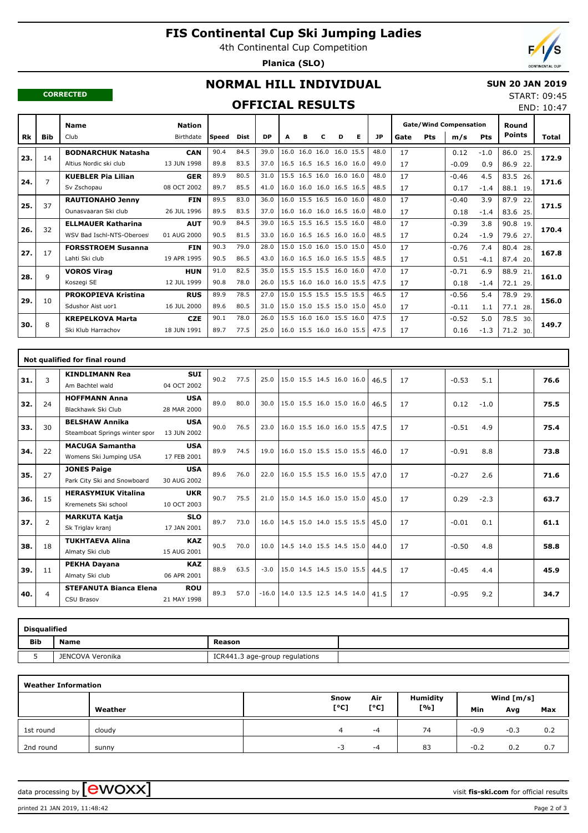# **FIS Continental Cup Ski Jumping Ladies**

4th Continental Cup Competition

**Planica (SLO)**

END: 10:47

#### **CORRECTED**

# **NORMAL HILL INDIVIDUAL**

### **SUN 20 JAN 2019** START: 09:45

## **OFFICIAL RESULTS**

|     |            | <b>Name</b>                | <b>Nation</b> |              |             |           |   |   |   |                          |   |           | <b>Gate/Wind Compensation</b> |            |         | Round      |               |       |
|-----|------------|----------------------------|---------------|--------------|-------------|-----------|---|---|---|--------------------------|---|-----------|-------------------------------|------------|---------|------------|---------------|-------|
| Rk  | <b>Bib</b> | Club                       | Birthdate     | <b>Speed</b> | <b>Dist</b> | <b>DP</b> | A | в | c | D                        | Е | <b>JP</b> | Gate                          | <b>Pts</b> | m/s     | <b>Pts</b> | <b>Points</b> | Total |
| 23. | 14         | <b>BODNARCHUK Natasha</b>  | <b>CAN</b>    | 90.4         | 84.5        | 39.0      |   |   |   | 16.0 16.0 16.0 16.0 15.5 |   | 48.0      | 17                            |            | 0.12    | $-1.0$     | 86.0<br>25.   | 172.9 |
|     |            | Altius Nordic ski club     | 13 JUN 1998   | 89.8         | 83.5        | 37.0      |   |   |   | 16.5 16.5 16.5 16.0 16.0 |   | 49.0      | 17                            |            | $-0.09$ | 0.9        | 86.9 22.      |       |
| 24. | 7          | <b>KUEBLER Pia Lilian</b>  | <b>GER</b>    | 89.9         | 80.5        | 31.0      |   |   |   | 15.5 16.5 16.0 16.0 16.0 |   | 48.0      | 17                            |            | $-0.46$ | 4.5        | 83.5<br>26.   | 171.6 |
|     |            | Sv Zschopau                | 08 OCT 2002   | 89.7         | 85.5        | 41.0      |   |   |   | 16.0 16.0 16.0 16.5 16.5 |   | 48.5      | 17                            |            | 0.17    | $-1.4$     | 88.1 19.      |       |
| 25. | 37         | <b>RAUTIONAHO Jenny</b>    | <b>FIN</b>    | 89.5         | 83.0        | 36.0      |   |   |   | 16.0 15.5 16.5 16.0 16.0 |   | 48.0      | 17                            |            | $-0.40$ | 3.9        | 87.9<br>22.   | 171.5 |
|     |            | Qunasyaaran Ski club       | 26 JUL 1996   | 89.5         | 83.5        | 37.0      |   |   |   | 16.0 16.0 16.0 16.5 16.0 |   | 48.0      | 17                            |            | 0.18    | $-1.4$     | 83.6 25.      |       |
| 26. | 32         | <b>ELLMAUER Katharina</b>  | <b>AUT</b>    | 90.9         | 84.5        | 39.0      |   |   |   | 16.5 15.5 16.5 15.5 16.0 |   | 48.0      | 17                            |            | $-0.39$ | 3.8        | 90.8<br>19.   | 170.4 |
|     |            | WSV Bad Ischl-NTS-Oberoes  | 01 AUG 2000   | 90.5         | 81.5        | 33.0      |   |   |   | 16.0 16.5 16.5 16.0 16.0 |   | 48.5      | 17                            |            | 0.24    | $-1.9$     | 79.6 27.      |       |
| 27. | 17         | <b>FORSSTROEM Susanna</b>  | <b>FIN</b>    | 90.3         | 79.0        | 28.0      |   |   |   | 15.0 15.0 16.0 15.0 15.0 |   | 45.0      | 17                            |            | $-0.76$ | 7.4        | 80.4 28.      | 167.8 |
|     |            | Lahti Ski club             | 19 APR 1995   | 90.5         | 86.5        | 43.0      |   |   |   | 16.0 16.5 16.0 16.5 15.5 |   | 48.5      | 17                            |            | 0.51    | $-4.1$     | 87.4 20.      |       |
| 28. | q          | <b>VOROS Virag</b>         | <b>HUN</b>    | 91.0         | 82.5        | 35.0      |   |   |   | 15.5 15.5 15.5 16.0 16.0 |   | 47.0      | 17                            |            | $-0.71$ | 6.9        | 88.9<br>21.   | 161.0 |
|     |            | Koszegi SE                 | 12 JUL 1999   | 90.8         | 78.0        | 26.0      |   |   |   | 15.5 16.0 16.0 16.0 15.5 |   | 47.5      | 17                            |            | 0.18    | $-1.4$     | 72.1<br>29    |       |
| 29. | 10         | <b>PROKOPIEVA Kristina</b> | <b>RUS</b>    | 89.9         | 78.5        | 27.0      |   |   |   | 15.0 15.5 15.5 15.5 15.5 |   | 46.5      | 17                            |            | $-0.56$ | 5.4        | 78.9<br>29.   | 156.0 |
|     |            | Sdushor Aist uor1          | 16 JUL 2000   | 89.6         | 80.5        | 31.0      |   |   |   | 15.0 15.0 15.5 15.0 15.0 |   | 45.0      | 17                            |            | $-0.11$ | 1.1        | 77.1 28.      |       |
| 30. | 8          | <b>KREPELKOVA Marta</b>    | <b>CZE</b>    | 90.1         | 78.0        | 26.0      |   |   |   | 15.5 16.0 16.0 15.5 16.0 |   | 47.5      | 17                            |            | $-0.52$ | 5.0        | 78.5<br>30.   | 149.7 |
|     |            | Ski Klub Harrachov         | 18 JUN 1991   | 89.7         | 77.5        | 25.0      |   |   |   | 16.0 15.5 16.0 16.0 15.5 |   | 47.5      | 17                            |            | 0.16    | $-1.3$     | 71.2 30.      |       |

|     |                | Not qualified for final round                          |                           |      |      |         |                          |      |    |                |      |
|-----|----------------|--------------------------------------------------------|---------------------------|------|------|---------|--------------------------|------|----|----------------|------|
| 31. | 3              | <b>KINDLIMANN Rea</b><br>Am Bachtel wald               | <b>SUI</b><br>04 OCT 2002 | 90.2 | 77.5 | 25.0    | 15.0 15.5 14.5 16.0 16.0 | 46.5 | 17 | $-0.53$<br>5.1 | 76.6 |
| 32. | 24             | <b>HOFFMANN Anna</b><br>Blackhawk Ski Club             | <b>USA</b><br>28 MAR 2000 | 89.0 | 80.0 | 30.0    | 15.0 15.5 16.0 15.0 16.0 | 46.5 | 17 | 0.12<br>$-1.0$ | 75.5 |
| 33. | 30             | <b>BELSHAW Annika</b><br>Steamboat Springs winter spor | <b>USA</b><br>13 JUN 2002 | 90.0 | 76.5 | 23.0    | 16.0 15.5 16.0 16.0 15.5 | 47.5 | 17 | $-0.51$<br>4.9 | 75.4 |
| 34. | 22             | <b>MACUGA Samantha</b><br>Womens Ski Jumping USA       | <b>USA</b><br>17 FEB 2001 | 89.9 | 74.5 | 19.0    | 16.0 15.0 15.5 15.0 15.5 | 46.0 | 17 | $-0.91$<br>8.8 | 73.8 |
| 35. | 27             | <b>JONES Paige</b><br>Park City Ski and Snowboard      | <b>USA</b><br>30 AUG 2002 | 89.6 | 76.0 | 22.0    | 16.0 15.5 15.5 16.0 15.5 | 47.0 | 17 | $-0.27$<br>2.6 | 71.6 |
| 36. | 15             | <b>HERASYMIUK Vitalina</b><br>Kremenets Ski school     | <b>UKR</b><br>10 OCT 2003 | 90.7 | 75.5 | 21.0    | 15.0 14.5 16.0 15.0 15.0 | 45.0 | 17 | 0.29<br>$-2.3$ | 63.7 |
| 37. | $\overline{2}$ | <b>MARKUTA Katja</b><br>Sk Triglav kranj               | <b>SLO</b><br>17 JAN 2001 | 89.7 | 73.0 | 16.0    | 14.5 15.0 14.0 15.5 15.5 | 45.0 | 17 | $-0.01$<br>0.1 | 61.1 |
| 38. | 18             | <b>TUKHTAEVA Alina</b><br>Almaty Ski club              | <b>KAZ</b><br>15 AUG 2001 | 90.5 | 70.0 | 10.0    | 14.5 14.0 15.5 14.5 15.0 | 44.0 | 17 | $-0.50$<br>4.8 | 58.8 |
| 39. | 11             | PEKHA Dayana<br>Almaty Ski club                        | <b>KAZ</b><br>06 APR 2001 | 88.9 | 63.5 | $-3.0$  | 15.0 14.5 14.5 15.0 15.5 | 44.5 | 17 | $-0.45$<br>4.4 | 45.9 |
| 40. | 4              | <b>STEFANUTA Bianca Elena</b><br><b>CSU Brasov</b>     | <b>ROU</b><br>21 MAY 1998 | 89.3 | 57.0 | $-16.0$ | 14.0 13.5 12.5 14.5 14.0 | 41.5 | 17 | $-0.95$<br>9.2 | 34.7 |

| <b>Disqualified</b> |                  |                                |  |  |  |  |  |  |  |  |  |  |
|---------------------|------------------|--------------------------------|--|--|--|--|--|--|--|--|--|--|
| <b>Bib</b>          | <b>Name</b>      | Reason                         |  |  |  |  |  |  |  |  |  |  |
|                     | JENCOVA Veronika | ICR441.3 age-group regulations |  |  |  |  |  |  |  |  |  |  |

| <b>Weather Information</b> |         |      |      |                 |              |        |     |  |
|----------------------------|---------|------|------|-----------------|--------------|--------|-----|--|
|                            |         | Snow | Air  | <b>Humidity</b> | Wind $[m/s]$ |        |     |  |
|                            | Weather | [°C] | [°C] | [%]             | Min          | Avg    | Max |  |
| 1st round                  | cloudy  | 4    | -4   | 74              | $-0.9$       | $-0.3$ | 0.2 |  |
| 2nd round                  | sunny   | $-3$ | -4   | 83              | $-0.2$       | 0.2    | 0.7 |  |

data processing by **CWOXX**  $\blacksquare$ 

printed 21 JAN 2019, 11:48:42 Page 2 of 3